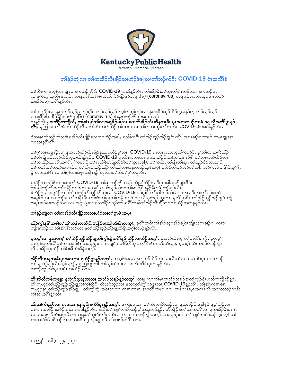

## တၢိနဲ့ဉ်ကျဲလ၊ တ၊်ကအိဉ်လီၤဖျိဉ်လ၊ဟံဉ်ဖဲဖျါလ၊တၢ်ဘဉ်က်ဒီး **COVID-19** ဝံၤအလိၢ်ခံ

တါဆဲးကျ၊နၤမ့ါလ၊ ဖျါလ၊နကဘဉ်က်ဒီး **COVID-19** အယိန္ဉာလီၤ. တါအိဉ်ဒီးတါဟူးတါဂဲၤတနီၤလ၊ နကဘဉ်မၤ<br>လ၊န္နက္ငက္ငါထွဲလ္ကီးနည္းဒီး လ၊နကဒီသဒၢစၢၤဒ်သိး ခိဉ်ရိဉ်နဉ်ဘဲရၢး(စ) (**coronavirus**) တရၤလီၤအသးဆူပှၤဂၤတဖဉ် အအိဉ်တဂုံၤအီဂ်ါနဉ်လီၤ.

တါအရဒိဉ်လ၊ နကဘဉ်သူဉ်ညါနဉ်မ့ါဝဲ ဘဉ်သ့ဉ်သ့ဉ် နမ့ါတတူါဘဉ်လ၊ နတအိဉ်ဆူဉ်အိဉ်ချ့သနာ်က ဘဉ်သ့ဉ်သ့ဉ်<br>နကအိဉ်ဒီး ခိဉ်ရိဉ်နဉ်ဘဲရျး(စ) (<mark>coronavirus)</mark> ဒီးနဒုးဘဉ်က်ပှၤအဂၤတဖဉ်<br>သွန့ဉ်လီး**. စးထိဉ်တဘျီယိ, တါအံၤမ့ါတါလ၊အရအိုဉ်မးလ၊ နကဟ်အိဉ်လ** 

ဝံသးစူၤဟ်သူဉ်ဟ်သးဖဲနအိဉ်လီၤဖျိဉ်နသးလၢဟံဉ်အခါ,နလိၢ်ကဝိၤတၢ်အိဉ်ဆူဉ်အိဉ်ချ့ဝဲၤကျိၤ အပှၤခၢဉ်စးတဖဉ် ကမၤချူးအ<br>သးလၢနဂိၢ်လိၤ

တါဂုါလ၊အရဒိဉ်လ၊ နကဘဉ်အိဉ်လီ၊ဖျိဉ်နသးဖဲဟံဉ်မ့ါလ၊  $\,$  COVID-19 ရၤလၤအသးသူညီကဒဉ်ဒီး မ့ါတါလ၊အကဲထိဉ်<br>တါလိၤပျံ၊လိၤဘဉ်ယိဉ်သ့အယိန္ဥာလိၤ**. COVID-19 ရၤ**လိၤအသးလ၊ ပုၤလ၊အိဉ်ဒီးတါဆါတဂၤခီဖျိ တါလ၊အဟဲထိဉ်လ၊<br>တါသါထိဉ်သးလိၤအကျိၤ (ကဟးဒီးတါအထံ

ပှၤခဲဉ်ထၢးခံဉ်ဖိလ၊ အမၤန္န**် COVID-19** တါဆါဘဉ်က်တဖဉ် ကိညါထိဉ်ဝဲ**,** ဒီးပှၤအါဂၤဟ်ဖျါထိဉ်ဝဲ<br>တါဆါဘဉ်က်အကုၤ်ပနိဉ်လ၊အစုၤ မ့တမ့ါ တဟ်သူဉ်ဟ်သးတါဆါကုၤ်ပနိဉ်နိတမံၤဘဉ်နဉ်လီၤ**.**<br>ဒ်လဲဉ်ဂၤ, အရုဒိဉ်လ၊ တါကဘဉ်ဟ်သူဉ်ဟ်သးလ၊ **COVID-19** နှဉ်မှါ

## တၢ်နဲ့ဉ်ကျဲလ၊ တၢ်ကအိဉ်လီၤဖျိဉ်သးလ၊ဟံဉ်လ၊တၢ်ပူၤဖျဲးအပူၤ

**ထိဉ်ကွၢ်နနိၤ်ကစၢ်တ၊်ကိၤ်တနံၤတဘျီဒီးမၤနိဉ်မၤယါဟ်အီၤတက့ၤ်.** နလိၤ်ကဝိၤတၢ်အိဉ်ဆူဉ်အိဉ်ချ့ဝဲၤကျိၤအပှၤခၢဉ်စး ကဆဲး<br>ကျိးနၤဘဉ်ယးတ၊်အံၤဒီးဘဉ်ယး နတၢ်အိဉ်ဆူဉ်အိဉ်ချ့ထိရိၤအဂ္ဂါတဖဉ်န္ဉာလိၤ**.** 

**မ့တမ့်္လာ နကမၤန့္ တါအိဉ်ဆူဉ်အိဉ်ချ့တါကွါတွဲအဂ်ိါန္ဉာ အိဉ်လၢဟံဉ်တက္််၊.** တဘဉ်လဲၤဆူ တါမၤလိါႇ ကိုႇ မ့တမ့္ပ်<br>ကမျ။်အတၤလိၤ်တၤ်ကျဲတဖဉ်ဒိႏ တဘဉ်စူးကါ ကမျ။်အဝံစိာတိဆုၢႇ တ၊နိၤဒိးသကိႏသိလ္ဉ်ႇ မ့တမ့္ပ် ထဲးကစံဉ်တဖဉ်န္ဉဉ်<br>လီၤႉ အိဉ်ဘုံးအ

**အိဉ်လီၤဖးနသးဖီးပှၤအဂၤလၢ နဟံဉ်ပူၤန္<sup>ဌ</sup>်တက့ၤ်.** တသ့ဖဲအသ့ႇ နကဘဉ်အိဉ်လ၊ ဒၢးလီၤဆီလၢအယံၤဒီးပှၤအဂၤတဖဉ်<br>လ၊ နဟံဉ်နဉ်လီၤႉ မ့္သြာန္**ဉ်ႇ** နကြားစူးကါ တါလုၤ်ထံဒၢးလ၊ အလီၤဆီဒီးပှၤဂၤန္ဉာ်လီၤ<br>တဘဉ်တူၤ်လိ၁်ပှၤတမှံၤလၢဟံဉ်တဂ္ၤ

**ကိးဆိလိတဲစိတချူး နလဲၤဖိးပွးနသးလ၊ ကသံဉ်သရဉ်န္ဉာိတက့ၤ်.** တချူးလ၊တါမၤကသံဉ်သရဉ်အတါသ့ဉ်နံၤဖးသိတဘျိဘျိန္ဉ်ႇ<br>ကိးပှၤဟ့ဉ်တၢ်အိဉ်ဆူဉ်အိဉ်ချ့တၢ်ကွၤ်ထွဲဒီး တဲအဝဲသ့ဉ်လ၊ နဘဉ်တၢ်ကွၢ်စုဉ်နၤလ၊ **COVID-19**န္နဉ်လိၤႉ တါအံၤကမၤစၢ၊<br>ပှၤဟ့ဉ်နၤ တၢ

**သိးတါကံးညာ်လ၊ ကမၤဘၢနနါ့ဒ့ဒီးနကိ§ပူ၊န္ဥ်ာတက့ါ်**• နကြုးမၤဘၢ တါကးဘၢမဲာ်သဉ်လ၊ နထးခိဉ်ဒီးနနှါဒ့ဖဲ နမ့ါအိဉ်လ၊<br>ပုၤအဂၤတဖဉ် အခိဉ်အယၤၤအခါနူဉ်လီၤ−နသိးတါကျၢါဘၢမဲာ်သဉ်မ့ါတသ့ဘဉ်နှဉ်ႇ ဟ်ပနိဉ်နတါဆၤကတိါလ၊ နကအိဉ်ဒီးပုၤဂၤ<br>လၢဒၢးတဖျုဉ်ယိအပူၤ

ကတြူ) – လါမ့ၤ ၂၉, ၂၀၂၀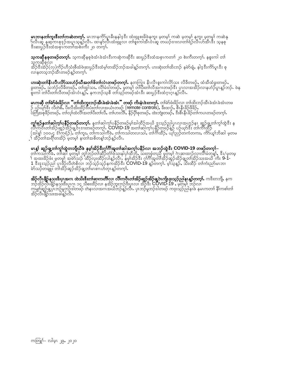**မၤဘၢနတၢ်ကူးဇီးတၢ်ကဆဲတက္်််.** မၤဘၢနကိ်ာပူၤဓိးနနါဒ့ဒီး ထံးရှူစးခိဖဲနကူး မ့တမ့္် ကဆဲ မ့တမ့္် နကူး မ့တမ္ပ္ပါ ကဆဲနု<br>ဉ်လီၤဆူ နုဆ့ကၤစုဒုဉ်အပူၤသ့န္ဉ်ာလီၤႉ ထ၊နဉ်လိၤထံးရှူလ၊ တၢ်စူးကါအီၤဝံၤဆူ တဃဉ်ဒၢးလ၊တၢ်ရဲဉ်လီၤဟ်အီၤဒီး သ့နစု<br>ဒီးဆး

**သူကဆိုနစုတဖဉ်တက္်််,** သ့ကဆိုနစုခဲအံၤခဲအံၤဒီးကဆုဲကဆိုဒီး ဆးပွဉ်ဒီးထံအစုၤကတၢါ ၂၀ စဲးကီးတက္်််၊ နစူးကါ တါ သဲ့ကဆိုစုလ၊<br>အိဉ်ဒီးအဲဉ်(လ)ကိုဉ်ဟိုသံးစီထံဖဲဆးပွဉ်ဒီးထံမ့၊်တအိဉ်ဘဉ်အခါန့ဉ်တက့ၢ်. ဟးဆုံးတ၊်ထိးဘဉ် နမ်ာ်ချံ, နါဒ့ဒီးကိ9်ပူၤဒီး စု<br>-လၢနတသူဘဉ်အီးတဖဉ်နူဉ်တက္န}.

**ပားဆုံးတၢ်နီၤလီၤလိာ်သးဟံဉ်ယီအတၢ်ဖိတၢ်လံၤတဖဉ်တက္၊်.** နတကြး နိၤလိၤစူးကါလိာ်သး လိခိတဖဉ်, ထံအိထံခွးတဖဉ်,<br>ခွးတဖဉ်, သဘံဉ်လိခိတဖဉ်, တၢ်ထွါသး, လိၢ်မံဒါတဖဉ်, မှတမ့၊် တာပိးတၢ်လိအဂၤတဖဉ်ဒီး ပှၤလၢအအိဉ်လၢနဟံဉ်ပူၤန္ဉာဘဉ်. ဖဲန<br>စူးကါ တၢိ

**မၤကဆို တါဗ်ာဖီးခိဉ်လ၊ "တါထိးဘူးဘဉ်အီၤခဲအံၤခဲအံၤ" တဖဉ် ကိးနံၤဖဲးတက္နၤ် တါဗ်ာဖံးခိဉ်လ၊ တါထိးဘဉ်အိၤခဲအံၤခဲအံၤတဖ<br>ဉ် ပဉ်ယုာ်ဒီး လီတဲစိႇ ပီးလီအိးထိဉ်ဒီးပံးတါလ၊အယံၤတဖဉ် (remote controls), ခီးထျာ်, စီၤနီၤခိဉ်ဖိခိဉ်,<br>ပဲတြီအစုဖိဉ်** 

**ကွၢ်စုဉ်နတၢ်ဆါက့၊်ပနိဉ်တဖဉ်တက့၊်.** နတၢ်ဆါက့၊်ပနိဉ်တဖဉ်မ့၊်အါထိဉ်အယိ ဒုးသုဉ်ညါပုၤလၢအဟုဉ်နၤ ဆှဉ်ချ့တၢ်ကွ၊်ထွဲဒီး န<br>လီ၊ကဝီၤတ၊်အိဉ်ဆူဉ်အိဉ်ချ့ဝ်ၤဒၢးတဖဉ်တကွ၊်**. COVID-19** အတၢ်ဆါက့၊်ပနိဉ်တဖဉ်နှဉ် ပဉ်ယုဉ်ဒီး တ၊ကိၢ်ထိဉ်<br>(အါနှု၊် ္နီး အိဉ်တ၊အရို၊တအိဉ် မူတမ္န၊ န၊တ၊အစိတန္၊ဘဉ်န္ဉာလီး

**မၤန္န၊် ဆူဉ်ချ့တၢ်ကွၢ်တွဲတဘျီယီဖဲ နမ့္၊်အိဉ်ဒီးဂု၊်ဂိၢဴအူတၢ်ဆါအက့္၊်ပနီဉ်လ၊ အဘဉ်တွဲဒီး <b>COVID-19 တဖဉ်တက့၊်–**<br>တ၊်ကသါကိခဲႇ တၢ်ဆါ မ့တမ့၊် တူ၊်ဘဉ်တ၊်ဆိုဉ်တံ၊ဖဲသးနါပှ၊်ထိဘိႇ သးတဖုံတညီ မွတမ့၊် ဂဲၤဆ၊ထ၊ဉ်လ၊လိၢ်မံတန့၊်, ဒီး/မှတမ့

**အိဉ်လီၤဖိုဉ်နသးဒီးပှၤအဂၤ ထဲသိးဒီးတါဆၢကတိါလ၊ လိါကဝီၤတါအိဉ်ဆူဉ်အိဉ်ချ့ဝဲၤကျိုးးသ့ဉ်ညါနၤန္နာ်တက္<b>၊်.** ကဒီးတဘို<sub>၊</sub> နက<br>ဘဉ်အိဉ်လီၤဖိျာ်နသးဒီးပှၤဂၤ ၁၄ သိစးထိဉ်လ၊ နအိဉ်ဘူးဘဉ်ဒီးပှၤလ၊ အိဉ်ဒီး **COVID-19 ,** မ့တမ့ါ ဘဉ်လ၊<br>ကမျာ်ဆူဉ်ချ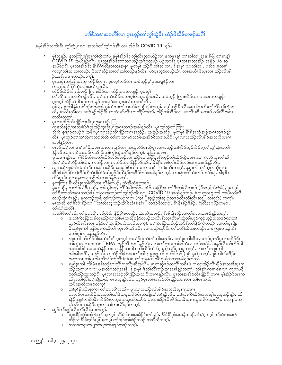## တၢ်ဒီသဒၢအပတိၢိလၢ ပုၤဟ္နဉ်တၢ်ကွၢ်ထွဲဒီး ဟံဉ်ဖိယီဖိတဖဉ်အင်္ဂါ

နမ္နက္ဆိဉ်သကိုးဒီး ကုန္တြဲပုံပုံလု၊ အဘဉ်တုနက္နုစဉ်အီးလ၊ အိဉ်ဒီး **COVID-19** နဉ်–

- မ့ါသန္ဉ်, နတကြးမ့ါ်ပုၤကွါထွဲတါဖဲ နမ့္ပါအိဉ်ဒီး တါလီၤဘဉ်ယိဉ်လၢ နကမၤန္၊် တါဆါလ၊ အနးခီဖိုု တါမၤန္၊်<br>COVID-19 အယိန္ဥာလိၤ. ပုၤလ၊အိဉ်ဒီးတါဘဉ်ယိဉ်အဒိဉ်တဖဉ် ပဉ်ယု၁်ဒီး ပုၤလ၊အသးအိဉ် အနံဉ် ၆၀ ဆူ<br>အဖိခိဉ်ဒီး ပုၤလ၊အိဉ်ဒီး နိ1်ခိဂၢံတြိ ဉ်သးဒီးပုၤဂၤတဖဉ်တက္ဂါ.
- 
- ဉသန်းနပ်ကာအပြားနီး<br>ပုံးတမုံးတကြိုးဟဲဆူ ဟံဉ်နိတဂၤ မဲ့တမ့်္ဂဘဉ်လ၊ အဝဲသ့ဉ်မ့္ဂ်ပုံးအရအိုဉ်လ၊<br>ကဟဉ်တဂ်က္ဂါထွဲဘဉ်အယိန္ဦလိၤ<br>တက်ိုအဂ္ဂၤတတ္စီးန္ဥ်လိၤ တဂ်ဴအားကဲ့ထိဉ်အသႏမ့္ပါတသွဘဥ်အယိႇ အဝဲသွဉ် ကြားအိဉ်လ၊ ဒၢႏအဂၤတဖျာဉ်<br>တဂ်လိုအဂ္ဂၤတတ္စ မှတမှ)် အိဉ်ယုံးဒီးပုံ၊တဂၤန္ဉာ် တသူဖဲ့အသူအယုံးကတ္ကုံလီး တတိၤတက္}်
- တိတိတိတို့<br>ကူးသိုးနိဉ်ကူးဘု၊မဲာဖဲအအိဉ်ဘူးဒီးပုံ၊အဂၤတဖဉ်အခါန္ဦလီး. ပုံ၊ကွါ်ထွဲတါကြား<br>သို့းဝဲ စုဖျဉ်တဖှဉ်ဖဲ့ အဖိဉ်ပုံ၊လျှအိုဉ်လီ၊ဖျိဉ်တဂၤအသွဉ်, အအုဉ်အဆံဉ်, မှတမှ၊ နိ1်ခိအထံအနိုအဂၤတဖဉ်နဉ်<br>သို့းဝဲ စုဖျဉ်တဖှဉ်ဖဲ့ အဖိဉ်ပုံ၊လျှအ လီၤ. ပုံၤဟွ**်ာက်ကွ်၊ထွဲကဘဉ်သိုးဝဲ တ၊်ကူးဘ၊မဲ**ာသည်ဖိအအိဉ်ဝဲတဒၢးယိဒိုး ပုံၤလ၊အအိဉ်လီၤဖျိဉ်အသႏၵိႏပုၤဂၤ အခါနူဉ်လီၤ.
- အခါန္ဥလၤ.<br>မၤလီးတံလ၊ နနၵ်ပၢါဒီးမၤစၢၤပုၤတဂၤန္ဥလၢ ကလူၤပိၥ်မၤထွဲပုၤလၢအဟုဉ်တၢ်အိဉ်ဆူဉ်အိဉ်ချတ၊်ကွ၊်ထွဲအတ၊်<br>နဉ်လီၤလ၊ကအိကသံဉ်ကသိ ဒီးတ၊်ကွ၊်ထွဲအဂိၢန္ဥတက္နာ. နကြားမၤစၢ၊<br>ပုၤတဂၤန္ဥလၢ ဂံ၊ိခိဉ်ထံးအတ၊်လိဉ်ဘဉ်တဖဉ်လ၊ အိဉ်လ၊ဟံဉ်ပူၤဒီးဟုဉ်
- 
- နပ်္ကြား နံးလံုးနီးကလေသီး လို့တပ်မှာ, ထိုအထိခွဲလာမှာ<br>စွဲးတဖဉ်, သဘဲဉ်လီခီတဖဉ်, တါထွါသး, လိုိမ်ဒါတဖဉ်, အဉ်လဲးထြိန္း တါပီးတါလိတဖဉ် (ဒ်အမ့္ဂါလိတ်စိ), မှတမ့္ဂါ<br>တပ်ိုးတါလိအဂၤတဖဉ်ဒီး ပုၤလၢအဘဉ်တါကွါစုဉ်အီၤလၢ \_COVID-19 အယိန္ဥာဘဉ်.
- တ်လုပ်ထံလိ\

အတၢ်ပီးတၢ်လိႇ တ၊်ပွားလိ့၊်ႇ လိတ္စဲစိႇ နိဉ်ပို၊်စုတဖ္ဉ်ႇ ထဲးဘျဲးတဖဉ်ႇ ဒီးစီၤနိုးခိဉ်လ၊တ၊်ကပၤတဖဉ်နှဉ်တကု၊်

- ာလေး သေးသေး လူသည်။ များကြသည်။<br>ပြောက်သုံးနှိဉ်စီးခံလ၊အိဉ်လ၊တ၊်မၤကဆိုပန်ာ်တဖဉ်အလိၤနီးလူၤဟ်မၤထွဲတ၊်ဟုဉ်ကူဉ်ဟုဉ်ဖီးတဖဉ်လ၊တ၊်<br>ဟုဉ်လိၤအိၤလ၊ ပန်ာ်တ၊်ကွဲးနိဉ်စီးခံအလိၤတက့ါ. တ၊်ကွဲးနိဉ်စီးခံပဉ်ယှာ်ဒီးတ၊်နဉ်ကျဲတဖဉ် လ၊တ၊်ပူၤဖျံး<br>- ဒ
- $\circ$
- နမ္န္ကုန္းကါ လိုမံ့ေးးဒီးတပ္သြားလ္ဂိုဒ္မႈလို့၊ဆီအယိ– မ့ၤ့ကဆိုဒဉ်ထဲလ္ဂိုက္ဝီၤဖံုပုလၢအိဉ်လီၤဖျိဉ်အသးဒီးပုၤဂၤ  $\circ$ မုန္းမွာက လာဝင္ အသင္းလာေရး အေမာ္ေလးသည္ အေမာ္ေကာင္း ေကာင္းျပသေပ်ာ္<br>အဲ့ခ်အကပၤဝးဝး ဖဲအလိုခ်ဘာအခါ, ဒီအမ္န၊် ဖဲတၤလိၢဘဉ်အၤအခါန္ ခ်တက္နၤ. တၤအၤကမၤစၤ၊ လ၊ ကပ်ပနီ<br>မြားကို သားတဲ့ အလိုခဲ့တြင္ အေမာ္ေကာင္း မွာ အသင္း မွာ ေကာက္ေကာင္း မွာ အပီးအလီတဖဉ်တက္မ္ပါ.
- ၀ တာမြနီၤလီၤစူးက္ငါ တါဟးလိၤ်အယိ– ပုၤလၢအအိဉ်လီၤဖျိဉ်အသူးဒီးပုၤဂၤတဂၤ ကဘိုမၤကဆိုဒီးမၤသံတါယါဖဲအစူးကါ၀ဲဝံၤတဘိုလ်ပျားမသားနောက်တက်<br>နနိဉ်ကျာ်ဘၤမဲ၁်ဒီး အိဉ်ခိုးတသွဖဲအသွယ်ာ်ယံ၁်ဖဲ ပုံၤလ၊နော်လီၤ. တါအံၤကဲထိဉ်အသးမ့္ပါတသဘဉ်နဉ်, သိ<br>ဟဲနဉ်မၤကဆိုဒီး စူးကတြပ်ပားလိၤ်နဉ်တက့်၊.<br>လူနှင့်မှူးလူသိုဒီး စူးကတြပ်ပား
- ဆူဉ်တါဆူဉ်လီၤတံၤ်လီၤဆဲးတက္ဂၤ်.
	- ...<br>"ထူးထိဉ်ကုံာ်တ1်ကုံးညာ မှတမှ1် လိ1်မံဒါလၢအအိဉ်ဒီးတ1်သုံဉ်, နိ1်ခိမ်၊ပု1်အထံနိတဖဉ်, ဒီး/မှတမှ1် တ1်ထံလၢအဟဲ ထိဉ်လ၊နိ1ိခိက္1ဂိၤပူ၊ မ့တမ့္၊ တၤ်အ့ဉ်တၤ်ဆံဉ်တဖဉ် တဘျိယီတက္1်
	- တဘဉ်တရူၤတပျုာ်တပျာ်တၢ်ဆုုဉ်တဖဉ်တက့ၢ်.  $\circ$

ကတြူ) – လါမ့ၤ ၂၉, ၂၀၂၀